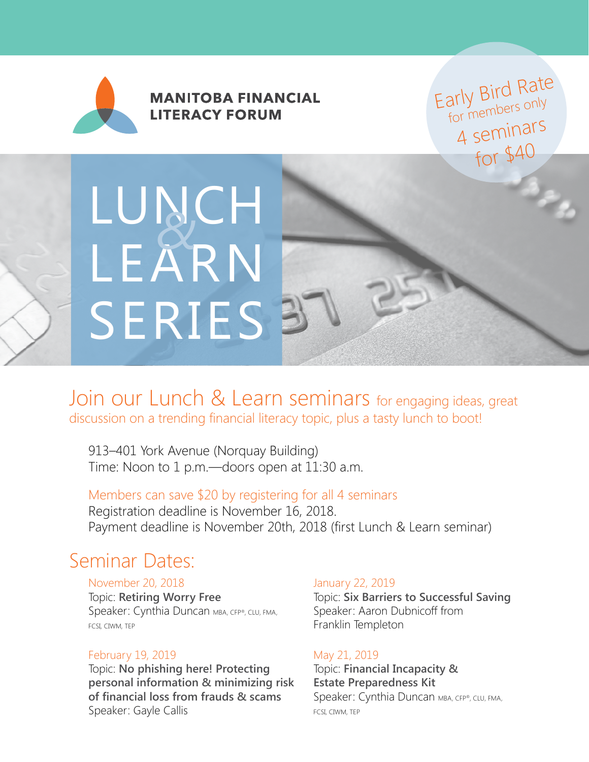

**MANITOBA FINANCIAL LITERACY FORUM** 

Early Bird Rate arry Divers only<br>for members only 4 seminars for \$40

# LUNCH LEARN SERIES<sup>3</sup> *&*

### Join our Lunch & Learn seminars for engaging ideas, great discussion on a trending financial literacy topic, plus a tasty lunch to boot!

913–401 York Avenue (Norquay Building) Time: Noon to 1 p.m.—doors open at 11:30 a.m.

#### Members can save \$20 by registering for all 4 seminars Registration deadline is November 16, 2018. Payment deadline is November 20th, 2018 (first Lunch & Learn seminar)

## Seminar Dates:

#### November 20, 2018

Topic: **Retiring Worry Free** Speaker: Cynthia Duncan MBA, CFP®, CLU, FMA, FCSI, CIWM, TEP

#### February 19, 2019

Topic: **No phishing here! Protecting personal information & minimizing risk of financial loss from frauds & scams** Speaker: Gayle Callis

#### January 22, 2019

Topic: **Six Barriers to Successful Saving** Speaker: Aaron Dubnicoff from Franklin Templeton

#### May 21, 2019

Topic: **Financial Incapacity & Estate Preparedness Kit** Speaker: Cynthia Duncan MBA, CFP®, CLU, FMA, FCSI, CIWM, TEP